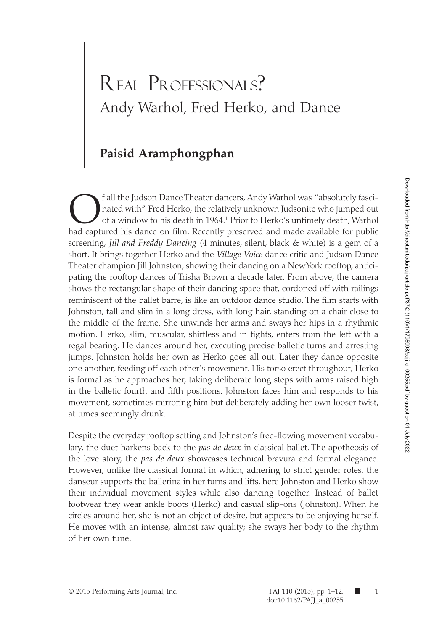# Real Professionals? Andy Warhol, Fred Herko, and Dance

# **Paisid Aramphongphan**

**C**<br> **C** fall the Judson Dance Theater dancers, Andy Warhol was "absolutely fasci-<br>
of a window to his death in 1964.<sup>1</sup> Prior to Herko's untimely death, Warhol<br>
and captured bis dance on film. Becently presented and made nated with" Fred Herko, the relatively unknown Judsonite who jumped out of a window to his death in 1964.<sup>1</sup> Prior to Herko's untimely death, Warhol had captured his dance on film. Recently preserved and made available for public screening, *Jill and Freddy Dancing* (4 minutes, silent, black & white) is a gem of a short. It brings together Herko and the *Village Voice* dance critic and Judson Dance Theater champion Jill Johnston, showing their dancing on a New York rooftop, anticipating the rooftop dances of Trisha Brown a decade later. From above, the camera shows the rectangular shape of their dancing space that, cordoned off with railings reminiscent of the ballet barre, is like an outdoor dance studio. The film starts with Johnston, tall and slim in a long dress, with long hair, standing on a chair close to the middle of the frame. She unwinds her arms and sways her hips in a rhythmic motion. Herko, slim, muscular, shirtless and in tights, enters from the left with a regal bearing. He dances around her, executing precise balletic turns and arresting jumps. Johnston holds her own as Herko goes all out. Later they dance opposite one another, feeding off each other's movement. His torso erect throughout, Herko is formal as he approaches her, taking deliberate long steps with arms raised high in the balletic fourth and fifth positions. Johnston faces him and responds to his movement, sometimes mirroring him but deliberately adding her own looser twist, at times seemingly drunk.

Despite the everyday rooftop setting and Johnston's free-flowing movement vocabulary, the duet harkens back to the *pas de deux* in classical ballet. The apotheosis of the love story, the *pas de deux* showcases technical bravura and formal elegance. However, unlike the classical format in which, adhering to strict gender roles, the danseur supports the ballerina in her turns and lifts, here Johnston and Herko show their individual movement styles while also dancing together. Instead of ballet footwear they wear ankle boots (Herko) and casual slip-ons (Johnston). When he circles around her, she is not an object of desire, but appears to be enjoying herself. He moves with an intense, almost raw quality; she sways her body to the rhythm of her own tune.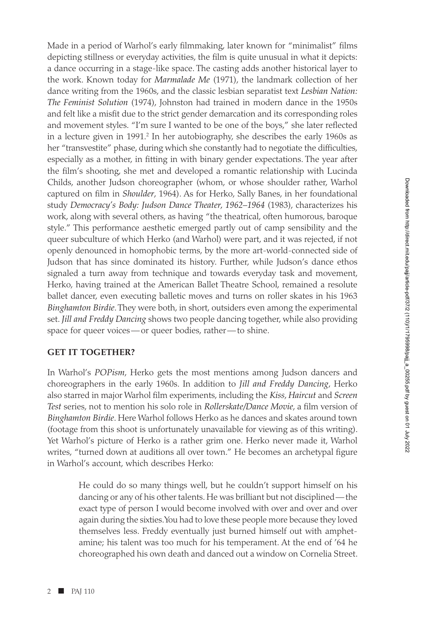Made in a period of Warhol's early filmmaking, later known for "minimalist" films depicting stillness or everyday activities, the film is quite unusual in what it depicts: a dance occurring in a stage-like space. The casting adds another historical layer to the work. Known today for *Marmalade Me* (1971), the landmark collection of her dance writing from the 1960s, and the classic lesbian separatist text *Lesbian Nation: The Feminist Solution* (1974), Johnston had trained in modern dance in the 1950s and felt like a misfit due to the strict gender demarcation and its corresponding roles and movement styles. "I'm sure I wanted to be one of the boys," she later reflected in a lecture given in 1991.<sup>2</sup> In her autobiography, she describes the early 1960s as her "transvestite" phase, during which she constantly had to negotiate the difficulties, especially as a mother, in fitting in with binary gender expectations. The year after the film's shooting, she met and developed a romantic relationship with Lucinda Childs, another Judson choreographer (whom, or whose shoulder rather, Warhol captured on film in *Shoulder*, 1964). As for Herko, Sally Banes, in her foundational study *Democracy's Body: Judson Dance Theater, 1962–1964* (1983), characterizes his work, along with several others, as having "the theatrical, often humorous, baroque style." This performance aesthetic emerged partly out of camp sensibility and the queer subculture of which Herko (and Warhol) were part, and it was rejected, if not openly denounced in homophobic terms, by the more art-world-connected side of Judson that has since dominated its history. Further, while Judson's dance ethos signaled a turn away from technique and towards everyday task and movement, Herko, having trained at the American Ballet Theatre School, remained a resolute ballet dancer, even executing balletic moves and turns on roller skates in his 1963 *Binghamton Birdie*. They were both, in short, outsiders even among the experimental set. *Jill and Freddy Dancing* shows two people dancing together, while also providing space for queer voices—or queer bodies, rather—to shine.

### **GET IT TOGETHER?**

In Warhol's *POPism*, Herko gets the most mentions among Judson dancers and choreographers in the early 1960s. In addition to *Jill and Freddy Dancing*, Herko also starred in major Warhol film experiments, including the *Kiss*, *Haircut* and *Screen Test* series, not to mention his solo role in *Rollerskate/Dance Movie*, a film version of *Binghamton Birdie*. Here Warhol follows Herko as he dances and skates around town (footage from this shoot is unfortunately unavailable for viewing as of this writing). Yet Warhol's picture of Herko is a rather grim one. Herko never made it, Warhol writes, "turned down at auditions all over town." He becomes an archetypal figure in Warhol's account, which describes Herko:

He could do so many things well, but he couldn't support himself on his dancing or any of his other talents. He was brilliant but not disciplined—the exact type of person I would become involved with over and over and over again during the sixties. You had to love these people more because they loved themselves less. Freddy eventually just burned himself out with amphetamine; his talent was too much for his temperament. At the end of '64 he choreographed his own death and danced out a window on Cornelia Street.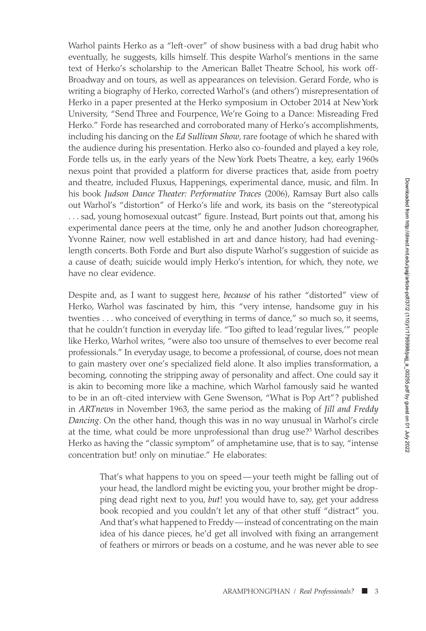Warhol paints Herko as a "left-over" of show business with a bad drug habit who eventually, he suggests, kills himself. This despite Warhol's mentions in the same text of Herko's scholarship to the American Ballet Theatre School, his work off-Broadway and on tours, as well as appearances on television. Gerard Forde, who is writing a biography of Herko, corrected Warhol's (and others') misrepresentation of Herko in a paper presented at the Herko symposium in October 2014 at New York University, "Send Three and Fourpence, We're Going to a Dance: Misreading Fred Herko." Forde has researched and corroborated many of Herko's accomplishments, including his dancing on the *Ed Sullivan Show*, rare footage of which he shared with the audience during his presentation. Herko also co-founded and played a key role, Forde tells us, in the early years of the New York Poets Theatre, a key, early 1960s nexus point that provided a platform for diverse practices that, aside from poetry and theatre, included Fluxus, Happenings, experimental dance, music, and film. In his book *Judson Dance Theater: Performative Traces* (2006), Ramsay Burt also calls out Warhol's "distortion" of Herko's life and work, its basis on the "stereotypical . . . sad, young homosexual outcast" figure. Instead, Burt points out that, among his experimental dance peers at the time, only he and another Judson choreographer, Yvonne Rainer, now well established in art and dance history, had had eveninglength concerts. Both Forde and Burt also dispute Warhol's suggestion of suicide as a cause of death; suicide would imply Herko's intention, for which, they note, we have no clear evidence.

Despite and, as I want to suggest here, *because* of his rather "distorted" view of Herko, Warhol was fascinated by him, this "very intense, handsome guy in his twenties . . . who conceived of everything in terms of dance," so much so, it seems, that he couldn't function in everyday life. "Too gifted to lead 'regular lives,'" people like Herko, Warhol writes, "were also too unsure of themselves to ever become real professionals." In everyday usage, to become a professional, of course, does not mean to gain mastery over one's specialized field alone. It also implies transformation, a becoming, connoting the stripping away of personality and affect. One could say it is akin to becoming more like a machine, which Warhol famously said he wanted to be in an oft-cited interview with Gene Swenson, "What is Pop Art"? published in *ARTnews* in November 1963, the same period as the making of *Jill and Freddy Dancing*. On the other hand, though this was in no way unusual in Warhol's circle at the time, what could be more unprofessional than drug use?3 Warhol describes Herko as having the "classic symptom" of amphetamine use, that is to say, "intense concentration but! only on minutiae." He elaborates:

That's what happens to you on speed—your teeth might be falling out of your head, the landlord might be evicting you, your brother might be dropping dead right next to you, *but*! you would have to, say, get your address book recopied and you couldn't let any of that other stuff "distract" you. And that's what happened to Freddy—instead of concentrating on the main idea of his dance pieces, he'd get all involved with fixing an arrangement of feathers or mirrors or beads on a costume, and he was never able to see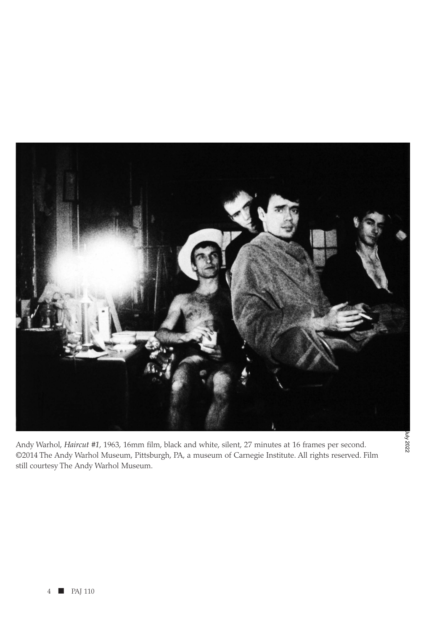

Andy Warhol, *Haircut #1*, 1963, 16mm film, black and white, silent, 27 minutes at 16 frames per second. ©2014 The Andy Warhol Museum, Pittsburgh, PA, a museum of Carnegie Institute. All rights reserved. Film still courtesy The Andy Warhol Museum.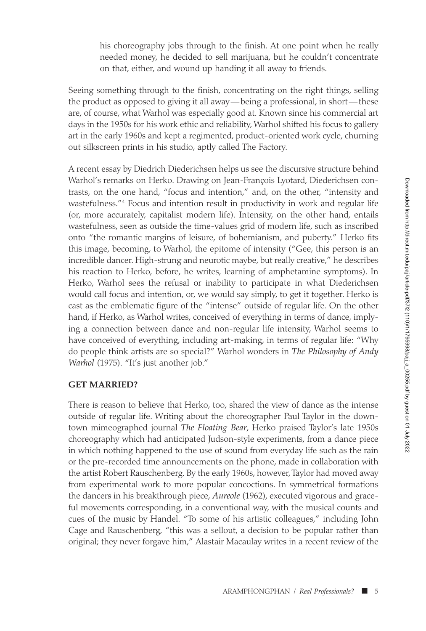his choreography jobs through to the finish. At one point when he really needed money, he decided to sell marijuana, but he couldn't concentrate on that, either, and wound up handing it all away to friends.

Seeing something through to the finish, concentrating on the right things, selling the product as opposed to giving it all away—being a professional, in short—these are, of course, what Warhol was especially good at. Known since his commercial art days in the 1950s for his work ethic and reliability, Warhol shifted his focus to gallery art in the early 1960s and kept a regimented, product-oriented work cycle, churning out silkscreen prints in his studio, aptly called The Factory.

A recent essay by Diedrich Diederichsen helps us see the discursive structure behind Warhol's remarks on Herko. Drawing on Jean-François Lyotard, Diederichsen contrasts, on the one hand, "focus and intention," and, on the other, "intensity and wastefulness."4 Focus and intention result in productivity in work and regular life (or, more accurately, capitalist modern life). Intensity, on the other hand, entails wastefulness, seen as outside the time-values grid of modern life, such as inscribed onto "the romantic margins of leisure, of bohemianism, and puberty." Herko fits this image, becoming, to Warhol, the epitome of intensity ("Gee, this person is an incredible dancer. High-strung and neurotic maybe, but really creative," he describes his reaction to Herko, before, he writes, learning of amphetamine symptoms). In Herko, Warhol sees the refusal or inability to participate in what Diederichsen would call focus and intention, or, we would say simply, to get it together. Herko is cast as the emblematic figure of the "intense" outside of regular life. On the other hand, if Herko, as Warhol writes, conceived of everything in terms of dance, implying a connection between dance and non-regular life intensity, Warhol seems to have conceived of everything, including art-making, in terms of regular life: "Why do people think artists are so special?" Warhol wonders in *The Philosophy of Andy Warhol* (1975). "It's just another job."

# **GET MARRIED?**

There is reason to believe that Herko, too, shared the view of dance as the intense outside of regular life. Writing about the choreographer Paul Taylor in the downtown mimeographed journal *The Floating Bear*, Herko praised Taylor's late 1950s choreography which had anticipated Judson-style experiments, from a dance piece in which nothing happened to the use of sound from everyday life such as the rain or the pre-recorded time announcements on the phone, made in collaboration with the artist Robert Rauschenberg. By the early 1960s, however, Taylor had moved away from experimental work to more popular concoctions. In symmetrical formations the dancers in his breakthrough piece, *Aureole* (1962), executed vigorous and graceful movements corresponding, in a conventional way, with the musical counts and cues of the music by Handel. "To some of his artistic colleagues," including John Cage and Rauschenberg, "this was a sellout, a decision to be popular rather than original; they never forgave him," Alastair Macaulay writes in a recent review of the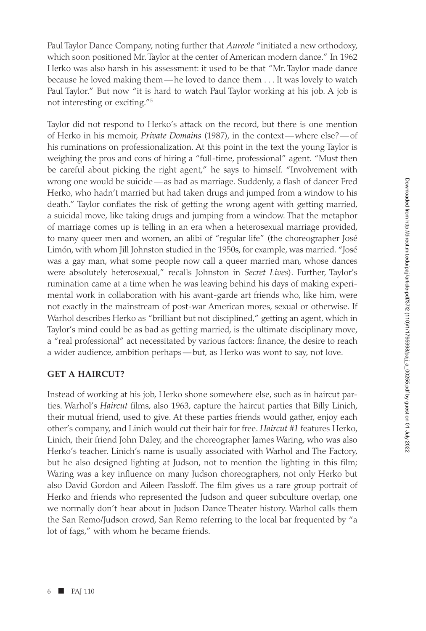Paul Taylor Dance Company, noting further that *Aureole* "initiated a new orthodoxy, which soon positioned Mr. Taylor at the center of American modern dance." In 1962 Herko was also harsh in his assessment: it used to be that "Mr. Taylor made dance because he loved making them—he loved to dance them . . . It was lovely to watch Paul Taylor." But now "it is hard to watch Paul Taylor working at his job. A job is not interesting or exciting."5

Taylor did not respond to Herko's attack on the record, but there is one mention of Herko in his memoir, *Private Domains* (1987), in the context—where else?—of his ruminations on professionalization. At this point in the text the young Taylor is weighing the pros and cons of hiring a "full-time, professional" agent. "Must then be careful about picking the right agent," he says to himself. "Involvement with wrong one would be suicide—as bad as marriage. Suddenly, a flash of dancer Fred Herko, who hadn't married but had taken drugs and jumped from a window to his death." Taylor conflates the risk of getting the wrong agent with getting married, a suicidal move, like taking drugs and jumping from a window. That the metaphor of marriage comes up is telling in an era when a heterosexual marriage provided, to many queer men and women, an alibi of "regular life" (the choreographer José Limón, with whom Jill Johnston studied in the 1950s, for example, was married. "José was a gay man, what some people now call a queer married man, whose dances were absolutely heterosexual," recalls Johnston in *Secret Lives*). Further, Taylor's rumination came at a time when he was leaving behind his days of making experimental work in collaboration with his avant-garde art friends who, like him, were not exactly in the mainstream of post-war American mores, sexual or otherwise. If Warhol describes Herko as "brilliant but not disciplined," getting an agent, which in Taylor's mind could be as bad as getting married, is the ultimate disciplinary move, a "real professional" act necessitated by various factors: finance, the desire to reach a wider audience, ambition perhaps—but, as Herko was wont to say, not love.

### **GET A HAIRCUT?**

Instead of working at his job, Herko shone somewhere else, such as in haircut parties. Warhol's *Haircut* films, also 1963, capture the haircut parties that Billy Linich, their mutual friend, used to give. At these parties friends would gather, enjoy each other's company, and Linich would cut their hair for free. *Haircut #1* features Herko, Linich, their friend John Daley, and the choreographer James Waring, who was also Herko's teacher. Linich's name is usually associated with Warhol and The Factory, but he also designed lighting at Judson, not to mention the lighting in this film; Waring was a key influence on many Judson choreographers, not only Herko but also David Gordon and Aileen Passloff. The film gives us a rare group portrait of Herko and friends who represented the Judson and queer subculture overlap, one we normally don't hear about in Judson Dance Theater history. Warhol calls them the San Remo/Judson crowd, San Remo referring to the local bar frequented by "a lot of fags," with whom he became friends.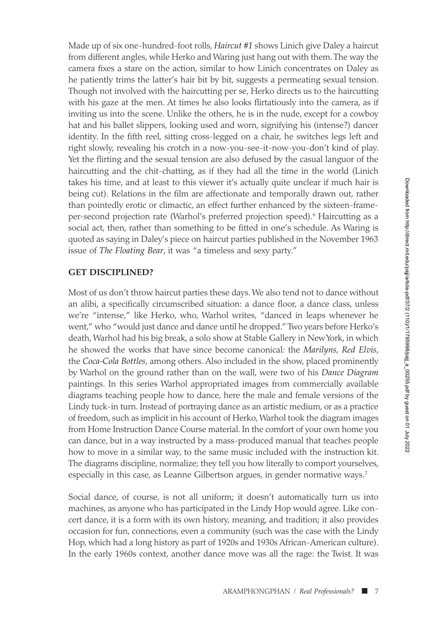Made up of six one-hundred-foot rolls, *Haircut #1* shows Linich give Daley a haircut from different angles, while Herko and Waring just hang out with them. The way the camera fixes a stare on the action, similar to how Linich concentrates on Daley as he patiently trims the latter's hair bit by bit, suggests a permeating sexual tension. Though not involved with the haircutting per se, Herko directs us to the haircutting with his gaze at the men. At times he also looks flirtatiously into the camera, as if inviting us into the scene. Unlike the others, he is in the nude, except for a cowboy hat and his ballet slippers, looking used and worn, signifying his (intense?) dancer identity. In the fifth reel, sitting cross-legged on a chair, he switches legs left and right slowly, revealing his crotch in a now-you-see-it-now-you-don't kind of play. Yet the flirting and the sexual tension are also defused by the casual languor of the haircutting and the chit-chatting, as if they had all the time in the world (Linich takes his time, and at least to this viewer it's actually quite unclear if much hair is being cut). Relations in the film are affectionate and temporally drawn out, rather than pointedly erotic or climactic, an effect further enhanced by the sixteen-frameper-second projection rate (Warhol's preferred projection speed).<sup>6</sup> Haircutting as a social act, then, rather than something to be fitted in one's schedule. As Waring is quoted as saying in Daley's piece on haircut parties published in the November 1963 issue of *The Floating Bear*, it was "a timeless and sexy party."

# **GET DISCIPLINED?**

Most of us don't throw haircut parties these days. We also tend not to dance without an alibi, a specifically circumscribed situation: a dance floor, a dance class, unless we're "intense," like Herko, who, Warhol writes, "danced in leaps whenever he went," who "would just dance and dance until he dropped." Two years before Herko's death, Warhol had his big break, a solo show at Stable Gallery in New York, in which he showed the works that have since become canonical: the *Marilyns*, *Red Elvis*, the *Coca-Cola Bottles*, among others. Also included in the show, placed prominently by Warhol on the ground rather than on the wall, were two of his *Dance Diagram*  paintings. In this series Warhol appropriated images from commercially available diagrams teaching people how to dance, here the male and female versions of the Lindy tuck-in turn. Instead of portraying dance as an artistic medium, or as a practice of freedom, such as implicit in his account of Herko, Warhol took the diagram images from Home Instruction Dance Course material. In the comfort of your own home you can dance, but in a way instructed by a mass-produced manual that teaches people how to move in a similar way, to the same music included with the instruction kit. The diagrams discipline, normalize; they tell you how literally to comport yourselves, especially in this case, as Leanne Gilbertson argues, in gender normative ways.<sup>7</sup>

Social dance, of course, is not all uniform; it doesn't automatically turn us into machines, as anyone who has participated in the Lindy Hop would agree. Like concert dance, it is a form with its own history, meaning, and tradition; it also provides occasion for fun, connections, even a community (such was the case with the Lindy Hop, which had a long history as part of 1920s and 1930s African-American culture). In the early 1960s context, another dance move was all the rage: the Twist. It was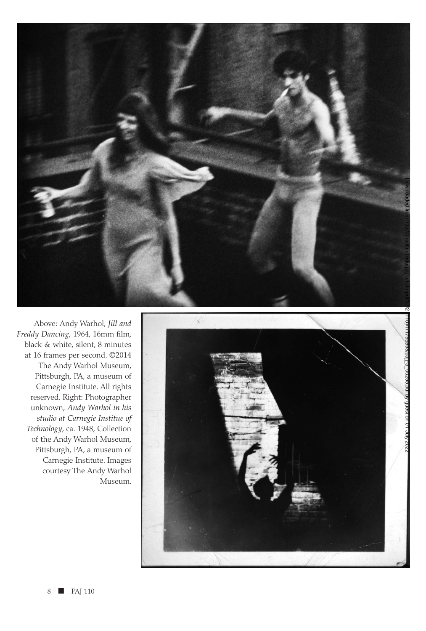

Above: Andy Warhol, *Jill and Freddy Dancing*, 1964, 16mm film, black & white, silent, 8 minutes at 16 frames per second. ©2014 The Andy Warhol Museum, Pittsburgh, PA, a museum of Carnegie Institute. All rights reserved. Right: Photographer unknown, *Andy Warhol in his studio at Carnegie Institue of Technology*, ca. 1948, Collection of the Andy Warhol Museum, Pittsburgh, PA, a museum of Carnegie Institute. Images courtesy The Andy Warhol Museum.

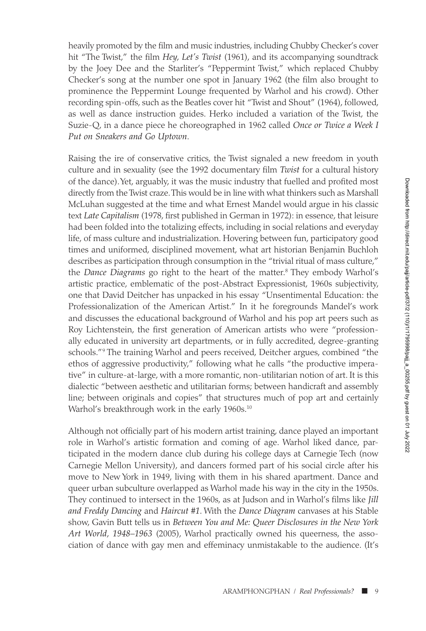heavily promoted by the film and music industries, including Chubby Checker's cover hit "The Twist," the film *Hey, Let's Twist* (1961), and its accompanying soundtrack by the Joey Dee and the Starliter's "Peppermint Twist," which replaced Chubby Checker's song at the number one spot in January 1962 (the film also brought to prominence the Peppermint Lounge frequented by Warhol and his crowd). Other recording spin-offs, such as the Beatles cover hit "Twist and Shout" (1964), followed, as well as dance instruction guides. Herko included a variation of the Twist, the Suzie-Q, in a dance piece he choreographed in 1962 called *Once or Twice a Week I Put on Sneakers and Go Uptown*.

Raising the ire of conservative critics, the Twist signaled a new freedom in youth culture and in sexuality (see the 1992 documentary film *Twist* for a cultural history of the dance). Yet, arguably, it was the music industry that fuelled and profited most directly from the Twist craze. This would be in line with what thinkers such as Marshall McLuhan suggested at the time and what Ernest Mandel would argue in his classic text *Late Capitalism* (1978, first published in German in 1972): in essence, that leisure had been folded into the totalizing effects, including in social relations and everyday life, of mass culture and industrialization. Hovering between fun, participatory good times and uniformed, disciplined movement, what art historian Benjamin Buchloh describes as participation through consumption in the "trivial ritual of mass culture," the *Dance Diagrams* go right to the heart of the matter.<sup>8</sup> They embody Warhol's artistic practice, emblematic of the post-Abstract Expressionist, 1960s subjectivity, one that David Deitcher has unpacked in his essay "Unsentimental Education: the Professionalization of the American Artist." In it he foregrounds Mandel's work and discusses the educational background of Warhol and his pop art peers such as Roy Lichtenstein, the first generation of American artists who were "professionally educated in university art departments, or in fully accredited, degree-granting schools."9 The training Warhol and peers received, Deitcher argues, combined "the ethos of aggressive productivity," following what he calls "the productive imperative" in culture-at-large, with a more romantic, non-utilitarian notion of art. It is this dialectic "between aesthetic and utilitarian forms; between handicraft and assembly line; between originals and copies" that structures much of pop art and certainly Warhol's breakthrough work in the early 1960s.<sup>10</sup>

Although not officially part of his modern artist training, dance played an important role in Warhol's artistic formation and coming of age. Warhol liked dance, participated in the modern dance club during his college days at Carnegie Tech (now Carnegie Mellon University), and dancers formed part of his social circle after his move to New York in 1949, living with them in his shared apartment. Dance and queer urban subculture overlapped as Warhol made his way in the city in the 1950s. They continued to intersect in the 1960s, as at Judson and in Warhol's films like *Jill and Freddy Dancing* and *Haircut #1*. With the *Dance Diagram* canvases at his Stable show, Gavin Butt tells us in *Between You and Me: Queer Disclosures in the New York Art World, 1948–1963* (2005), Warhol practically owned his queerness, the association of dance with gay men and effeminacy unmistakable to the audience. (It's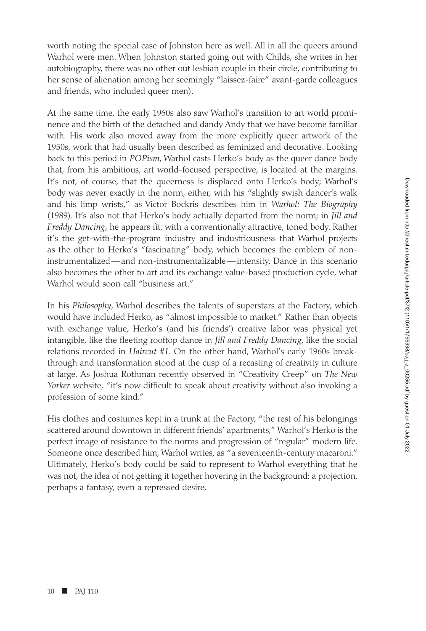worth noting the special case of Johnston here as well. All in all the queers around Warhol were men. When Johnston started going out with Childs, she writes in her autobiography, there was no other out lesbian couple in their circle, contributing to her sense of alienation among her seemingly "laissez-faire" avant-garde colleagues and friends, who included queer men).

At the same time, the early 1960s also saw Warhol's transition to art world prominence and the birth of the detached and dandy Andy that we have become familiar with. His work also moved away from the more explicitly queer artwork of the 1950s, work that had usually been described as feminized and decorative. Looking back to this period in *POPism*, Warhol casts Herko's body as the queer dance body that, from his ambitious, art world-focused perspective, is located at the margins. It's not, of course, that the queerness is displaced onto Herko's body; Warhol's body was never exactly in the norm, either, with his "slightly swish dancer's walk and his limp wrists," as Victor Bockris describes him in *Warhol: The Biography* (1989). It's also not that Herko's body actually departed from the norm; in *Jill and Freddy Dancing*, he appears fit, with a conventionally attractive, toned body. Rather it's the get-with-the-program industry and industriousness that Warhol projects as the other to Herko's "fascinating" body, which becomes the emblem of noninstrumentalized—and non-instrumentalizable—intensity. Dance in this scenario also becomes the other to art and its exchange value-based production cycle, what Warhol would soon call "business art."

In his *Philosophy*, Warhol describes the talents of superstars at the Factory, which would have included Herko, as "almost impossible to market." Rather than objects with exchange value, Herko's (and his friends') creative labor was physical yet intangible, like the fleeting rooftop dance in *Jill and Freddy Dancing*, like the social relations recorded in *Haircut #1*. On the other hand, Warhol's early 1960s breakthrough and transformation stood at the cusp of a recasting of creativity in culture at large. As Joshua Rothman recently observed in "Creativity Creep" on *The New Yorker* website, "it's now difficult to speak about creativity without also invoking a profession of some kind."

His clothes and costumes kept in a trunk at the Factory, "the rest of his belongings scattered around downtown in different friends' apartments," Warhol's Herko is the perfect image of resistance to the norms and progression of "regular" modern life. Someone once described him, Warhol writes, as "a seventeenth-century macaroni." Ultimately, Herko's body could be said to represent to Warhol everything that he was not, the idea of not getting it together hovering in the background: a projection, perhaps a fantasy, even a repressed desire.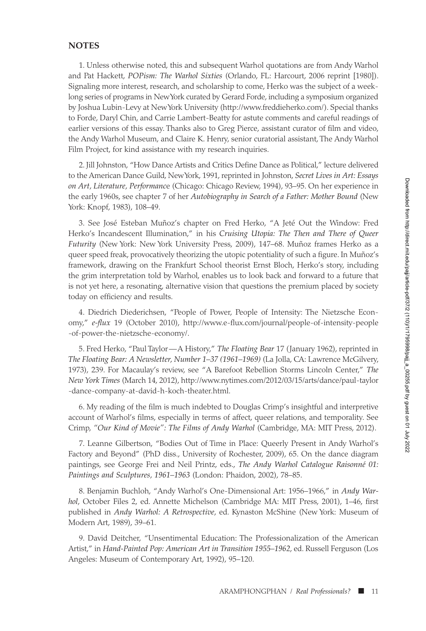#### **NOTES**

1. Unless otherwise noted, this and subsequent Warhol quotations are from Andy Warhol and Pat Hackett, *POPism: The Warhol Sixties* (Orlando, FL: Harcourt, 2006 reprint [1980]). Signaling more interest, research, and scholarship to come, Herko was the subject of a weeklong series of programs in New York curated by Gerard Forde, including a symposium organized by Joshua Lubin-Levy at New York University (http://www.freddieherko.com/). Special thanks to Forde, Daryl Chin, and Carrie Lambert-Beatty for astute comments and careful readings of earlier versions of this essay. Thanks also to Greg Pierce, assistant curator of film and video, the Andy Warhol Museum, and Claire K. Henry, senior curatorial assistant, The Andy Warhol Film Project, for kind assistance with my research inquiries.

2. Jill Johnston, "How Dance Artists and Critics Define Dance as Political," lecture delivered to the American Dance Guild, New York, 1991, reprinted in Johnston, *Secret Lives in Art: Essays on Art, Literature, Performanc*e (Chicago: Chicago Review, 1994), 93–95. On her experience in the early 1960s, see chapter 7 of her *Autobiography in Search of a Father: Mother Bound* (New York: Knopf, 1983), 108–49.

3. See José Esteban Muñoz's chapter on Fred Herko, "A Jeté Out the Window: Fred Herko's Incandescent Illumination," in his *Cruising Utopia: The Then and There of Queer Futurity* (New York: New York University Press, 2009), 147–68. Muñoz frames Herko as a queer speed freak, provocatively theorizing the utopic potentiality of such a figure. In Muñoz's framework, drawing on the Frankfurt School theorist Ernst Bloch, Herko's story, including the grim interpretation told by Warhol, enables us to look back and forward to a future that is not yet here, a resonating, alternative vision that questions the premium placed by society today on efficiency and results.

4. Diedrich Diederichsen, "People of Power, People of Intensity: The Nietzsche Economy," *e-flux* 19 (October 2010), http://www.e-flux.com/journal/people-of-intensity-people -of-power-the-nietzsche-economy/.

5. Fred Herko, "Paul Taylor—A History," *The Floating Bear* 17 (January 1962), reprinted in *The Floating Bear: A Newsletter, Number 1–37 (1961–1969)* (La Jolla, CA: Lawrence McGilvery, 1973), 239. For Macaulay's review, see "A Barefoot Rebellion Storms Lincoln Center," *The New York Times* (March 14, 2012), http://www.nytimes.com/2012/03/15/arts/dance/paul-taylor -dance-company-at-david-h-koch-theater.html.

6. My reading of the film is much indebted to Douglas Crimp's insightful and interpretive account of Warhol's films, especially in terms of affect, queer relations, and temporality. See Crimp, *"Our Kind of Movie": The Films of Andy Warhol* (Cambridge, MA: MIT Press, 2012).

7. Leanne Gilbertson, "Bodies Out of Time in Place: Queerly Present in Andy Warhol's Factory and Beyond" (PhD diss., University of Rochester, 2009), 65. On the dance diagram paintings, see George Frei and Neil Printz, eds., *The Andy Warhol Catalogue Raisonné 01: Paintings and Sculptures, 1961–1963* (London: Phaidon, 2002), 78–85.

8. Benjamin Buchloh, "Andy Warhol's One-Dimensional Art: 1956–1966," in *Andy Warhol*, October Files 2, ed. Annette Michelson (Cambridge MA: MIT Press, 2001), 1–46, first published in *Andy Warhol: A Retrospective*, ed. Kynaston McShine (New York: Museum of Modern Art, 1989), 39–61.

9. David Deitcher, "Unsentimental Education: The Professionalization of the American Artist," in *Hand-Painted Pop: American Art in Transition 1955–1962*, ed. Russell Ferguson (Los Angeles: Museum of Contemporary Art, 1992), 95–120.